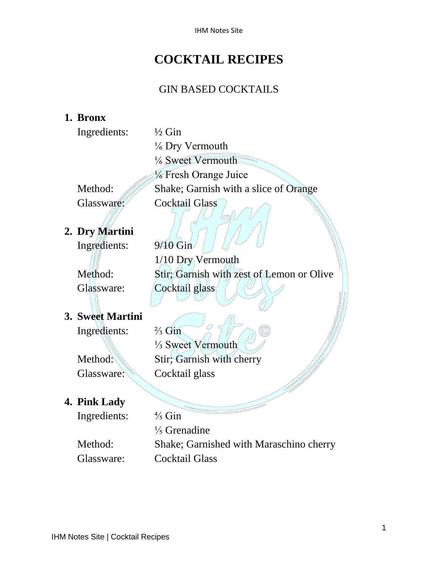IHM Notes Site

### **COCKTAIL RECIPES**

#### GIN BASED COCKTAILS

#### **1. Bronx**

|              | $\frac{1}{2}$ Gin |
|--------------|-------------------|
| Ingredients: |                   |

⅙ Dry Vermouth ⅙ Sweet Vermouth ⅙ Fresh Orange Juice Method: Shake; Garnish with a slice of Orange Glassware: Cocktail Glass

#### **2. Dry Martini**

Ingredients: 9/10 Gin

1/10 Dry Vermouth Method: Stir; Garnish with zest of Lemon or Olive Glassware: Cocktail glass

#### **3. Sweet Martini**

Ingredients: ⅔ Gin ⅓ Sweet Vermouth Method: Stir; Garnish with cherry Glassware: Cocktail glass

#### **4. Pink Lady**

Ingredients: ⅘ Gin ⅕ Grenadine Method: Shake; Garnished with Maraschino cherry Glassware: Cocktail Glass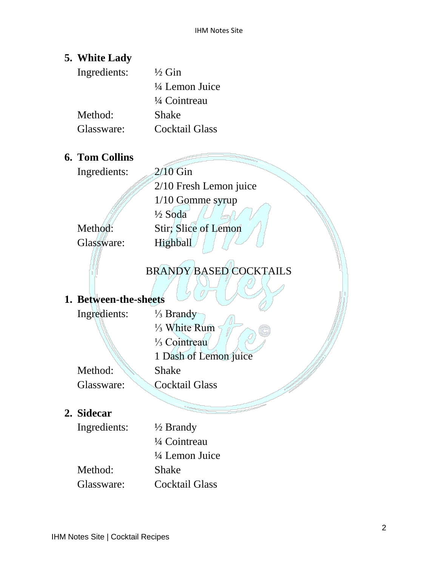#### **5. White Lady**

| Ingredients: | $\frac{1}{2}$ Gin         |
|--------------|---------------------------|
|              | $\frac{1}{4}$ Lemon Juice |
|              | 1/4 Cointreau             |
| Method:      | Shake                     |
| Glassware:   | Cocktail Glass            |

#### **6. Tom Collins**

Ingredients: 2/10 Gin

2/10 Fresh Lemon juice 1/10 Gomme syrup ½ Soda Method: Stir; Slice of Lemon Glassware: Highball

#### BRANDY BASED COCKTAILS

#### **1. Between-the-sheets**

| Ingredients: | $\frac{1}{3}$ Brandy      |
|--------------|---------------------------|
|              | $\frac{1}{3}$ White Rum   |
|              | 1/ <sub>3</sub> Cointreau |
|              | 1 Dash of Lemon juice     |
| Method:      | <b>Shake</b>              |
| Glassware:   | <b>Cocktail Glass</b>     |
|              |                           |

#### **2. Sidecar**

Ingredients: ½ Brandy

¼ Cointreau ¼ Lemon Juice Method: Shake Glassware: Cocktail Glass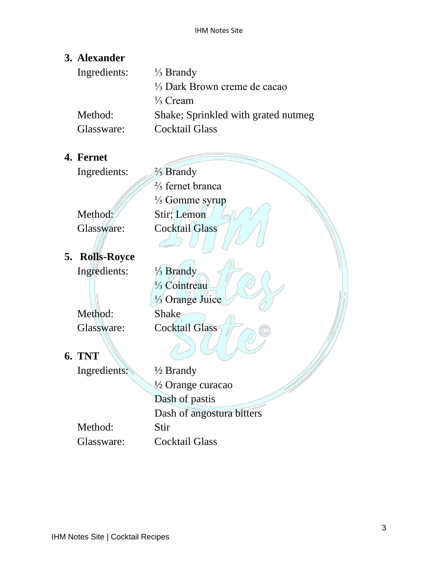#### **3. Alexander**

| $\frac{1}{3}$ Brandy                    |
|-----------------------------------------|
| $\frac{1}{3}$ Dark Brown creme de cacao |
| $\frac{1}{3}$ Cream                     |
| Shake; Sprinkled with grated nutmeg     |
| Cocktail Glass                          |
|                                         |

#### **4. Fernet**

Ingredients: <sup>2</sup>/<sub>5</sub> Brandy

 $\frac{2}{5}$  fernet branca ⅕ Gomme syrup Method: Stir; Lemon Glassware: Cocktail Glass

**5. Rolls-Royce** Ingredients: ⅓ Brandy

Glassware: Cocktail Glass

**6. TNT**

Ingredients: ½ Brandy ½ Orange curacao Dash of pastis Dash of angostura bitters Method: Stir Glassware: Cocktail Glass

⅓ Cointreau ⅓ Orange Juice Method: Shake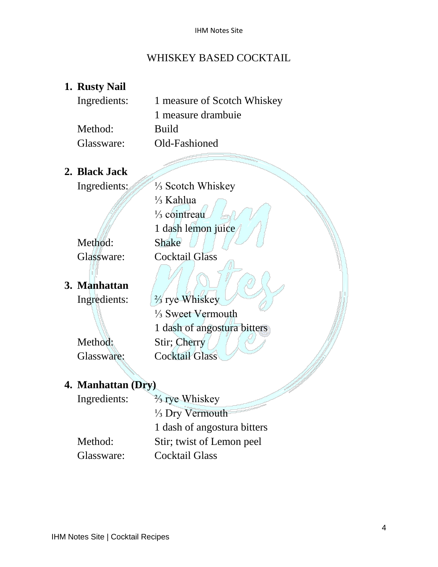#### WHISKEY BASED COCKTAIL

#### **1. Rusty Nail**

| Ingredients: | 1 measure of Scotch Whiskey |
|--------------|-----------------------------|
|              | 1 measure drambuie          |
| Method:      | <b>Build</b>                |
| Glassware:   | Old-Fashioned               |

⅓ Kahlua

⅓ cointreau

1 dash lemon juice

**2. Black Jack**

Ingredients: ⅓ Scotch Whiskey

Method: Shake Glassware: Cocktail Glass

**3. Manhattan**

Ingredients: ⅔ rye Whiskey ⅓ Sweet Vermouth 1 dash of angostura bitters Method: Stir; Cherry Glassware: Cocktail Glass

#### **4. Manhattan (Dry)**

| Ingredients: | $\frac{2}{3}$ rye Whiskey   |
|--------------|-----------------------------|
|              | $\frac{1}{3}$ Dry Vermouth  |
|              | 1 dash of angostura bitters |
| Method:      | Stir; twist of Lemon peel   |
| Glassware:   | <b>Cocktail Glass</b>       |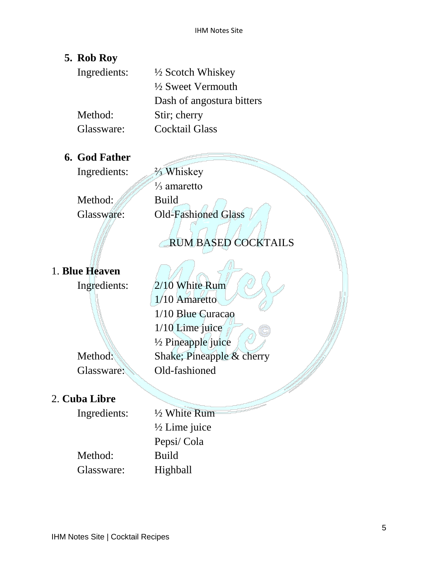#### **5. Rob Roy**

| Ingredients: | $\frac{1}{2}$ Scotch Whiskey |
|--------------|------------------------------|
|              | $\frac{1}{2}$ Sweet Vermouth |
|              | Dash of angostura bitters    |
| Method:      | Stir; cherry                 |
| Glassware:   | <b>Cocktail Glass</b>        |
|              |                              |

#### **6. God Father**

Ingredients: ⅔ Whiskey

Method: Build

⅓ amaretto Glassware: Old-Fashioned Glass

#### RUM BASED COCKTAILS

#### 1. **Blue Heaven**

Ingredients: 2/10 White Rum

Method: Shake; Pineapple & cherry Glassware: Old-fashioned

2. **Cuba Libre**

Ingredients: ½ White Rum ½ Lime juice Pepsi/ Cola Method: Build

1/10 Amaretto

1/10 Lime juice

½ Pineapple juice

1/10 Blue Curacao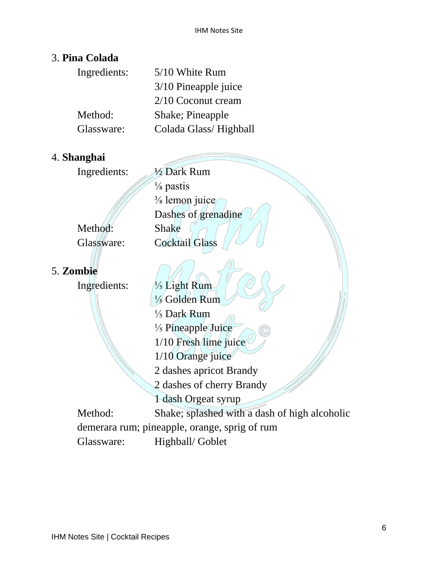#### 3. **Pina Colada**

| Ingredients: | 5/10 White Rum         |
|--------------|------------------------|
|              | $3/10$ Pineapple juice |
|              | $2/10$ Coconut cream   |
| Method:      | Shake; Pineapple       |
| Glassware:   | Colada Glass/Highball  |

#### 4. **Shanghai**

Ingredients: ½ Dark Rum ⅛ pastis ⅜ lemon juice Dashes of grenadine Method: Shake Glassware: Cocktail Glass

# 5. **Zombie**

| Ingredients: | 1/ <sub>5</sub> Light Rum                     |
|--------------|-----------------------------------------------|
|              | $\frac{1}{5}$ Golden Rum                      |
|              | $\frac{1}{5}$ Dark Rum                        |
|              | $\frac{1}{5}$ Pineapple Juice                 |
|              | $1/10$ Fresh lime juice                       |
|              | $1/10$ Orange juice                           |
|              | 2 dashes apricot Brandy                       |
|              | 2 dashes of cherry Brandy                     |
|              | 1 dash Orgeat syrup                           |
| Method:      | Shake; splashed with a dash of high alcoholic |
|              | demerara rum; pineapple, orange, sprig of rum |
| Glassware:   | Highball/ Goblet                              |
|              |                                               |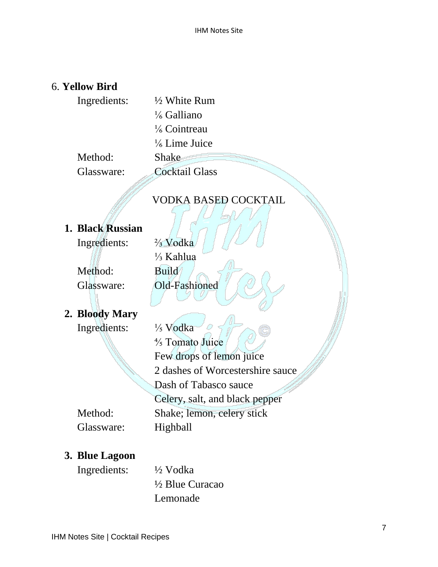#### 6. **Yellow Bird**

| Ingredients: | $\frac{1}{2}$ White Rum  |
|--------------|--------------------------|
|              | $\frac{1}{6}$ Galliano   |
|              | $\frac{1}{6}$ Cointreau  |
|              | $\frac{1}{6}$ Lime Juice |
| Method:      | Shake                    |
| Glassware:   | <b>Cocktail Glass</b>    |

#### VODKA BASED COCKTAIL

#### **1. Black Russian**

Ingredients: ⅔ Vodka

Method: Build

⅓ Kahlua Glassware: Old-Fashioned

#### **2. Bloody Mary**

Ingredients: <sup>1</sup>/<sub>5</sub> Vodka

⅘ Tomato Juice Few drops of lemon juice 2 dashes of Worcestershire sauce Dash of Tabasco sauce Celery, salt, and black pepper Method: Shake; lemon, celery stick Glassware: Highball

#### **3. Blue Lagoon**

Ingredients: ½ Vodka

½ Blue Curacao Lemonade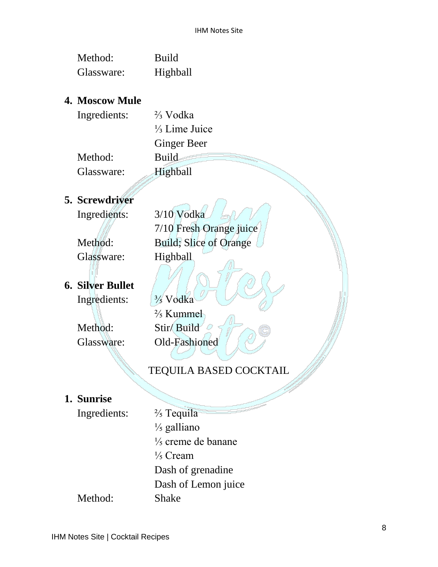| Method:    | Build    |
|------------|----------|
| Glassware: | Highball |

#### **4. Moscow Mule**

| Ingredients: | $\frac{2}{3}$ Vodka      |
|--------------|--------------------------|
|              | $\frac{1}{3}$ Lime Juice |
|              | <b>Ginger Beer</b>       |
| Method:      | <b>Build</b>             |
| Glassware:   | Highball                 |

#### **5. Screwdriver**

Ingredients: 3/10 Vodka

Glassware: Highball

## **6. Silver Bullet**

# 7/10 Fresh Orange juice Method: Build; Slice of Orange

Ingredients: ⅗ Vodka

⅖ Kummel Method: Stir/ Build Glassware: Old-Fashioned

#### TEQUILA BASED COCKTAIL

#### **1. Sunrise**

Ingredients: <sup>2</sup>/<sub>5</sub> Tequila ⅕ galliano ⅕ creme de banane ⅕ Cream Dash of grenadine Dash of Lemon juice Method: Shake